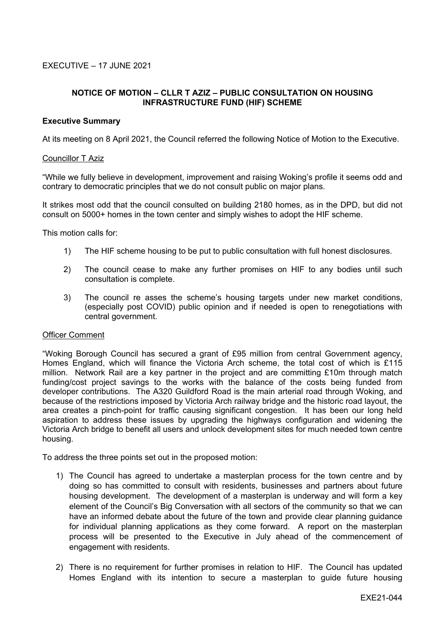# **NOTICE OF MOTION – CLLR T AZIZ – PUBLIC CONSULTATION ON HOUSING INFRASTRUCTURE FUND (HIF) SCHEME**

### **Executive Summary**

At its meeting on 8 April 2021, the Council referred the following Notice of Motion to the Executive.

#### Councillor T Aziz

"While we fully believe in development, improvement and raising Woking's profile it seems odd and contrary to democratic principles that we do not consult public on major plans.

It strikes most odd that the council consulted on building 2180 homes, as in the DPD, but did not consult on 5000+ homes in the town center and simply wishes to adopt the HIF scheme.

This motion calls for:

- 1) The HIF scheme housing to be put to public consultation with full honest disclosures.
- 2) The council cease to make any further promises on HIF to any bodies until such consultation is complete.
- 3) The council re asses the scheme's housing targets under new market conditions, (especially post COVID) public opinion and if needed is open to renegotiations with central government.

#### Officer Comment

"Woking Borough Council has secured a grant of £95 million from central Government agency, Homes England, which will finance the Victoria Arch scheme, the total cost of which is £115 million. Network Rail are a key partner in the project and are committing £10m through match funding/cost project savings to the works with the balance of the costs being funded from developer contributions. The A320 Guildford Road is the main arterial road through Woking, and because of the restrictions imposed by Victoria Arch railway bridge and the historic road layout, the area creates a pinch-point for traffic causing significant congestion. It has been our long held aspiration to address these issues by upgrading the highways configuration and widening the Victoria Arch bridge to benefit all users and unlock development sites for much needed town centre housing.

To address the three points set out in the proposed motion:

- 1) The Council has agreed to undertake a masterplan process for the town centre and by doing so has committed to consult with residents, businesses and partners about future housing development. The development of a masterplan is underway and will form a key element of the Council's Big Conversation with all sectors of the community so that we can have an informed debate about the future of the town and provide clear planning guidance for individual planning applications as they come forward. A report on the masterplan process will be presented to the Executive in July ahead of the commencement of engagement with residents.
- 2) There is no requirement for further promises in relation to HIF. The Council has updated Homes England with its intention to secure a masterplan to guide future housing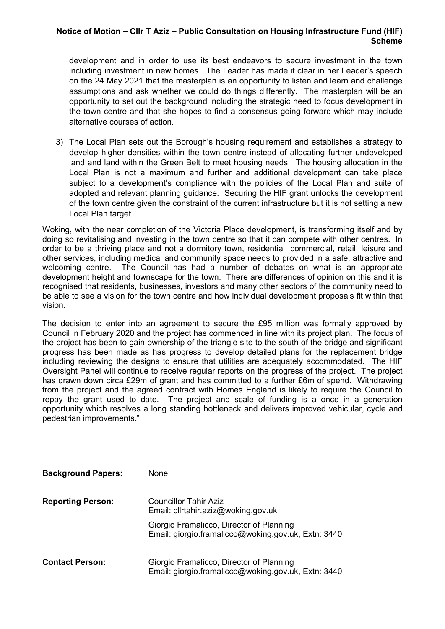## **Notice of Motion – Cllr T Aziz – Public Consultation on Housing Infrastructure Fund (HIF) Scheme**

development and in order to use its best endeavors to secure investment in the town including investment in new homes. The Leader has made it clear in her Leader's speech on the 24 May 2021 that the masterplan is an opportunity to listen and learn and challenge assumptions and ask whether we could do things differently. The masterplan will be an opportunity to set out the background including the strategic need to focus development in the town centre and that she hopes to find a consensus going forward which may include alternative courses of action.

3) The Local Plan sets out the Borough's housing requirement and establishes a strategy to develop higher densities within the town centre instead of allocating further undeveloped land and land within the Green Belt to meet housing needs. The housing allocation in the Local Plan is not a maximum and further and additional development can take place subject to a development's compliance with the policies of the Local Plan and suite of adopted and relevant planning guidance. Securing the HIF grant unlocks the development of the town centre given the constraint of the current infrastructure but it is not setting a new Local Plan target.

Woking, with the near completion of the Victoria Place development, is transforming itself and by doing so revitalising and investing in the town centre so that it can compete with other centres. In order to be a thriving place and not a dormitory town, residential, commercial, retail, leisure and other services, including medical and community space needs to provided in a safe, attractive and welcoming centre. The Council has had a number of debates on what is an appropriate development height and townscape for the town. There are differences of opinion on this and it is recognised that residents, businesses, investors and many other sectors of the community need to be able to see a vision for the town centre and how individual development proposals fit within that vision.

The decision to enter into an agreement to secure the £95 million was formally approved by Council in February 2020 and the project has commenced in line with its project plan. The focus of the project has been to gain ownership of the triangle site to the south of the bridge and significant progress has been made as has progress to develop detailed plans for the replacement bridge including reviewing the designs to ensure that utilities are adequately accommodated. The HIF Oversight Panel will continue to receive regular reports on the progress of the project. The project has drawn down circa £29m of grant and has committed to a further £6m of spend. Withdrawing from the project and the agreed contract with Homes England is likely to require the Council to repay the grant used to date. The project and scale of funding is a once in a generation opportunity which resolves a long standing bottleneck and delivers improved vehicular, cycle and pedestrian improvements."

| <b>Background Papers:</b> | None.                                                                                           |
|---------------------------|-------------------------------------------------------------------------------------------------|
| <b>Reporting Person:</b>  | <b>Councillor Tahir Aziz</b><br>Email: cllrtahir.aziz@woking.gov.uk                             |
|                           | Giorgio Framalicco, Director of Planning<br>Email: giorgio.framalicco@woking.gov.uk, Extn: 3440 |
| <b>Contact Person:</b>    | Giorgio Framalicco, Director of Planning<br>Email: giorgio.framalicco@woking.gov.uk, Extn: 3440 |